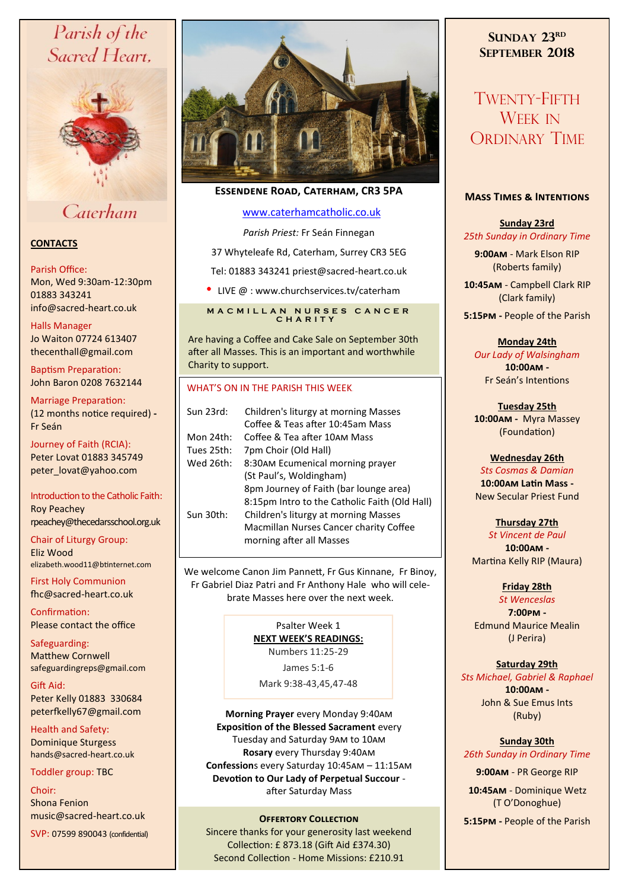# Parish of the Sacred Heart,



# Caterham

## **CONTACTS**

#### Parish Office:

Mon, Wed 9:30am-12:30pm 01883 343241 info@sacred-heart.co.uk .

# Halls Manager

Jo Waiton 07724 613407 thecenthall@gmail.com

Baptism Preparation: John Baron 0208 7632144

Marriage Preparation: (12 months notice required) **-** Fr Seán

Journey of Faith (RCIA): Peter Lovat 01883 345749 peter\_lovat@yahoo.com

#### Introduction to the Catholic Faith: Roy Peachey rpeachey@thecedarsschool.org.uk

Chair of Liturgy Group: Eliz Wood elizabeth.wood11@btinternet.com

First Holy Communion fhc@sacred-heart.co.uk

Confirmation: Please contact the office

Safeguarding: Matthew Cornwell safeguardingreps@gmail.com

Gift Aid: Peter Kelly 01883 330684 peterfkelly67@gmail.com

Health and Safety: Dominique Sturgess hands@sacred-heart.co.uk

Toddler group: TBC

Choir: Shona Fenion music@sacred-heart.co.uk

SVP: 07599 890043 (confidential)



# **Essendene Road, Caterham, CR3 5PA**

#### [www.caterhamcatholic.co.uk](http://Www.caterhamcatholic.co.uk)

*Parish Priest:* Fr Seán Finnegan

37 Whyteleafe Rd, Caterham, Surrey CR3 5EG

Tel: 01883 343241 priest@sacred-heart.co.uk

• LIVE @ : www.churchservices.tv/caterham

## **M A C M I L L A N N U R S E S C A N C E R C H A R I T Y**

Are having a Coffee and Cake Sale on September 30th after all Masses. This is an important and worthwhile Charity to support.

#### WHAT'S ON IN THE PARISH THIS WEEK.

| Sun 23rd:  | Children's liturgy at morning Masses          |
|------------|-----------------------------------------------|
|            | Coffee & Teas after 10:45am Mass              |
| Mon 24th:  | Coffee & Tea after 10AM Mass                  |
| Tues 25th: | 7pm Choir (Old Hall)                          |
| Wed 26th:  | 8:30AM Ecumenical morning prayer              |
|            | (St Paul's, Woldingham)                       |
|            | 8pm Journey of Faith (bar lounge area)        |
|            | 8:15pm Intro to the Catholic Faith (Old Hall) |
| Sun 30th:  | Children's liturgy at morning Masses          |
|            | Macmillan Nurses Cancer charity Coffee        |
|            | morning after all Masses                      |
|            |                                               |

We welcome Canon Jim Pannett, Fr Gus Kinnane, Fr Binoy, Fr Gabriel Diaz Patri and Fr Anthony Hale who will celebrate Masses here over the next week.

#### Psalter Week 1 **NEXT WEEK'S READINGS:**  Numbers 11:25-29

James 5:1-6

Mark 9:38-43,45,47-48

**Morning Prayer** every Monday 9:40am **Exposition of the Blessed Sacrament** every Tuesday and Saturday 9am to 10am **Rosary** every Thursday 9:40am **Confession**s every Saturday 10:45am – 11:15am **Devotion to Our Lady of Perpetual Succour**  after Saturday Mass

Sincere thanks for your generosity last weekend Collection: £ 873.18 (Gift Aid £374.30) Second Collection - Home Missions: £210.91

# **SUNDAY 23RD SEPTEMBER 2018**

TWENTY-FIFTH WEEK IN ORDINARY TIME

#### **Mass Times & Intentions**

# **Sunday 23rd** *25th Sunday in Ordinary Time*

**9:00am** - Mark Elson RIP (Roberts family)

.**10:45am** - Campbell Clark RIP (Clark family)

**5:15pm -** People of the Parish

**Monday 24th** *Our Lady of Walsingham* **10:00am -**  Fr Seán's Intentions

**Tuesday 25th 10:00am -** Myra Massey (Foundation)

# **Wednesday 26th**

*Sts Cosmas & Damian* **10:00am Latin Mass -** New Secular Priest Fund

**Thursday 27th**  *St Vincent de Paul* **10:00am -**  Martina Kelly RIP (Maura)

#### **Friday 28th**

*St Wenceslas* **7:00pm -** Edmund Maurice Mealin (J Perira)

#### **Saturday 29th**

*Sts Michael, Gabriel & Raphael* **10:00am -**  John & Sue Emus Ints (Ruby)

# **Sunday 30th**

*26th Sunday in Ordinary Time*

**9:00am** - PR George RIP

.**10:45am** - Dominique Wetz (T O'Donoghue)

**Offertory Collection 5:15pm -** People of the Parish